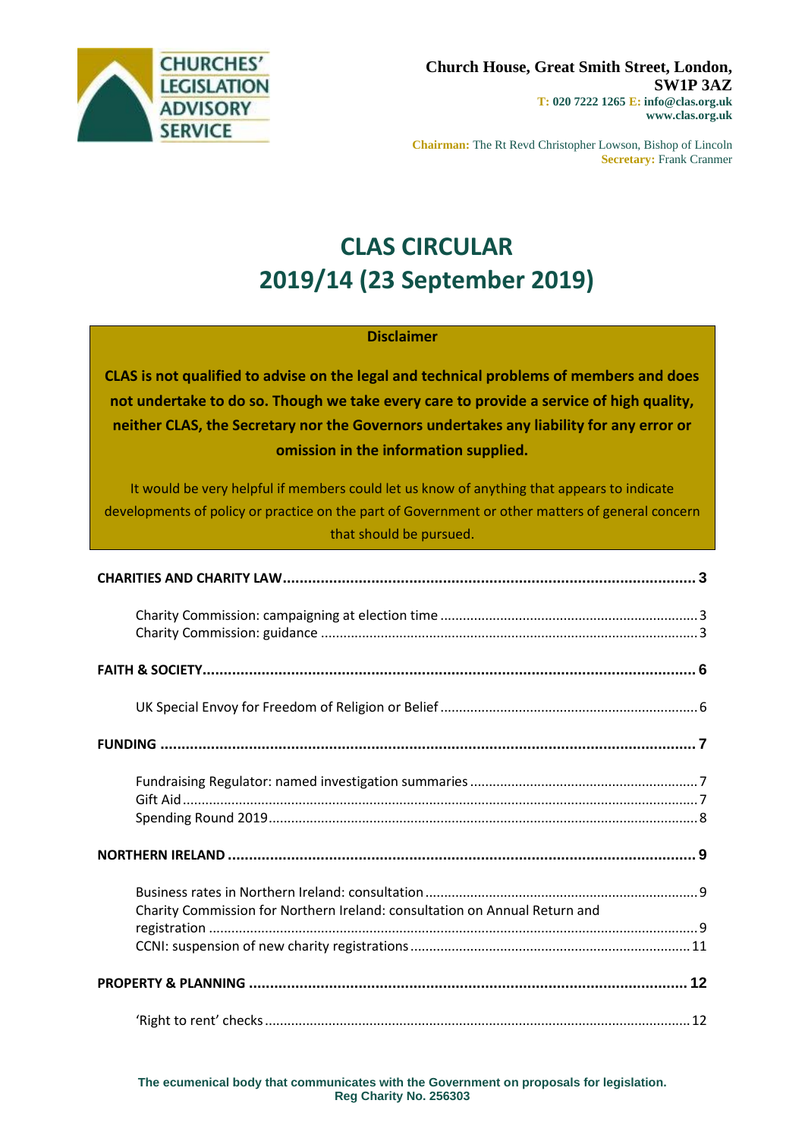

**Chairman:** The Rt Revd Christopher Lowson, Bishop of Lincoln **Secretary:** Frank Cranmer

# **CLAS CIRCULAR 2019/14 (23 September 2019)**

### **Disclaimer**

**CLAS is not qualified to advise on the legal and technical problems of members and does not undertake to do so. Though we take every care to provide a service of high quality, neither CLAS, the Secretary nor the Governors undertakes any liability for any error or omission in the information supplied.**

It would be very helpful if members could let us know of anything that appears to indicate developments of policy or practice on the part of Government or other matters of general concern that should be pursued.

| Charity Commission for Northern Ireland: consultation on Annual Return and |  |
|----------------------------------------------------------------------------|--|
|                                                                            |  |
|                                                                            |  |
|                                                                            |  |
|                                                                            |  |

**The ecumenical body that communicates with the Government on proposals for legislation. Reg Charity No. 256303**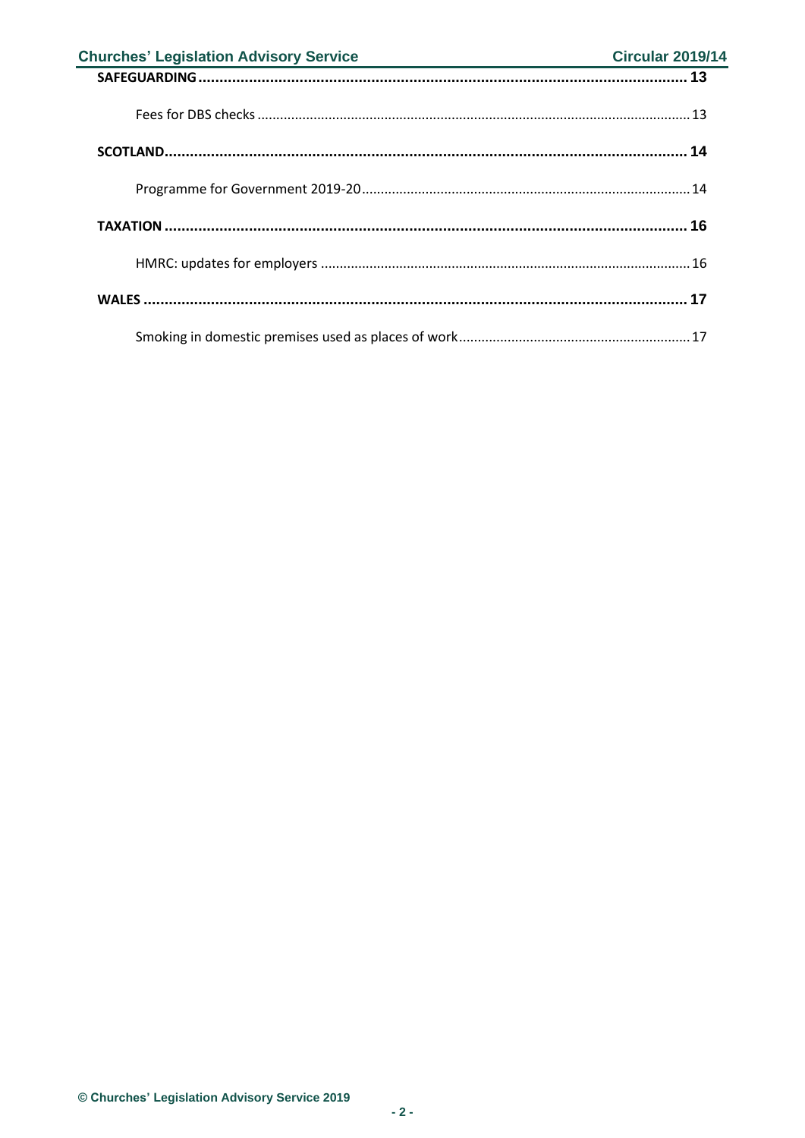| <b>Churches' Legislation Advisory Service</b> | <b>Circular 2019/14</b> |
|-----------------------------------------------|-------------------------|
|                                               |                         |
|                                               |                         |
|                                               |                         |
|                                               |                         |
|                                               |                         |
|                                               |                         |
|                                               |                         |
|                                               |                         |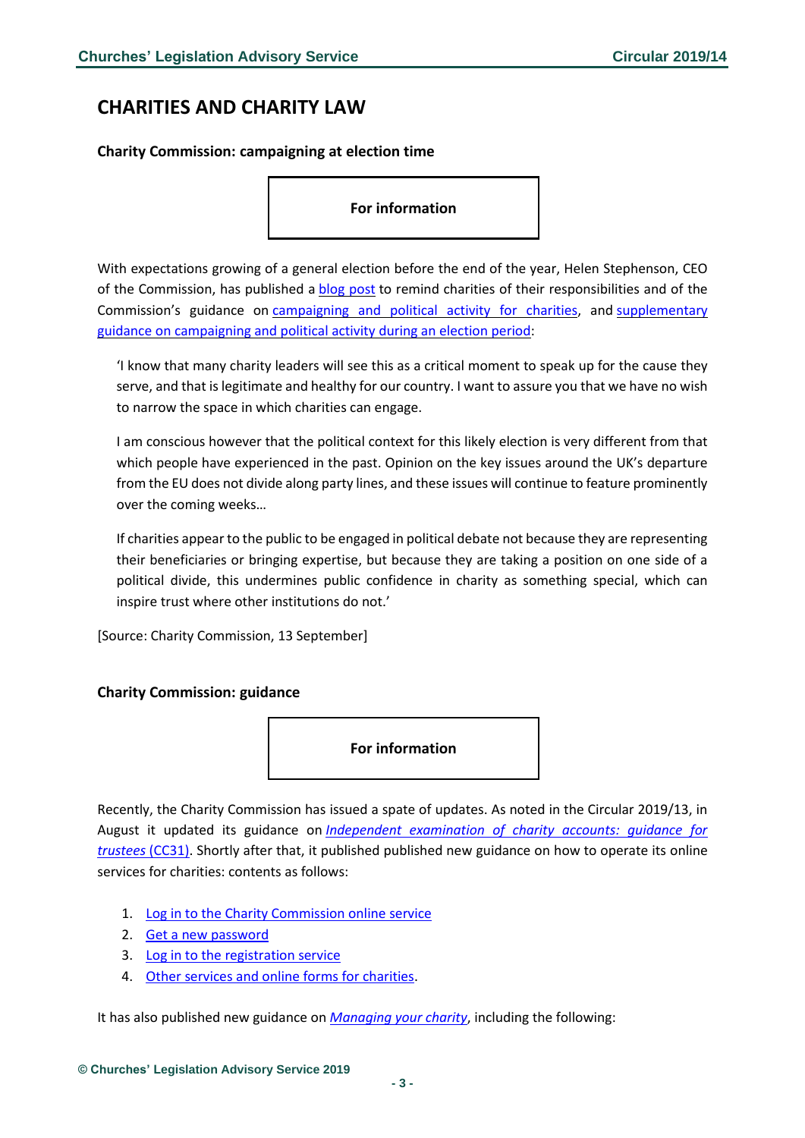### <span id="page-2-0"></span>**CHARITIES AND CHARITY LAW**

<span id="page-2-1"></span>**Charity Commission: campaigning at election time**

**For information**

With expectations growing of a general election before the end of the year, Helen Stephenson, CEO of the Commission, has published a blog [post](https://charitycommission.blog.gov.uk/2019/09/13/charities-and-political-campaigning-a-reflection-on-charities-responsibilities/?utm_source=Bates%20Wells%20Braithwaite&utm_medium=email&utm_campaign=10888867_Briefing%2017.09.19&dm_i=1Y95,6HDWJ,EQ22GV,PQ7XI,1) to remind charities of their responsibilities and of the Commission's guidance on [campaigning](https://www.gov.uk/government/publications/speaking-out-guidance-on-campaigning-and-political-activity-by-charities-cc9) and political activity for charities, and [supplementary](https://assets.publishing.service.gov.uk/government/uploads/system/uploads/attachment_data/file/591355/Charities_Elections_and_Referendums_new.pdf) guidance on [campaigning](https://assets.publishing.service.gov.uk/government/uploads/system/uploads/attachment_data/file/591355/Charities_Elections_and_Referendums_new.pdf) and political activity during an election period:

'I know that many charity leaders will see this as a critical moment to speak up for the cause they serve, and that is legitimate and healthy for our country. I want to assure you that we have no wish to narrow the space in which charities can engage.

I am conscious however that the political context for this likely election is very different from that which people have experienced in the past. Opinion on the key issues around the UK's departure from the EU does not divide along party lines, and these issues will continue to feature prominently over the coming weeks…

If charities appear to the public to be engaged in political debate not because they are representing their beneficiaries or bringing expertise, but because they are taking a position on one side of a political divide, this undermines public confidence in charity as something special, which can inspire trust where other institutions do not.'

[Source: Charity Commission, 13 September]

#### <span id="page-2-2"></span>**Charity Commission: guidance**



Recently, the Charity Commission has issued a spate of updates. As noted in the Circular 2019/13, in August it updated its guidance on *[Independent examination of charity accounts: guidance for](https://www.gov.uk/government/publications/independent-examination-of-charity-accounts-trustees-cc31?utm_source=e48e4ef9-2788-462d-983e-893ebfc6be75&utm_medium=email&utm_campaign=govuk-notifications&utm_content=immediate)  [trustees](https://www.gov.uk/government/publications/independent-examination-of-charity-accounts-trustees-cc31?utm_source=e48e4ef9-2788-462d-983e-893ebfc6be75&utm_medium=email&utm_campaign=govuk-notifications&utm_content=immediate)* (CC31). Shortly after that, it published published new guidance on how to operate its online services for charities: contents as follows:

- 1. Log in to [the Charity Commission online service](https://www.gov.uk/guidance/online-services-for-charities?utm_source=3ae1aa06-9c11-4ab9-a1ab-694da0f35617&utm_medium=email&utm_campaign=govuk-notifications&utm_content=immediate#log-in-to-the-charity-commission-online-service)
- 2. [Get a new password](https://www.gov.uk/guidance/online-services-for-charities?utm_source=3ae1aa06-9c11-4ab9-a1ab-694da0f35617&utm_medium=email&utm_campaign=govuk-notifications&utm_content=immediate#get-a-new-password)
- 3. [Log in to the registration service](https://www.gov.uk/guidance/online-services-for-charities?utm_source=3ae1aa06-9c11-4ab9-a1ab-694da0f35617&utm_medium=email&utm_campaign=govuk-notifications&utm_content=immediate#log-in-to-the-registration-service)
- 4. [Other services and online forms for charities.](https://www.gov.uk/guidance/online-services-for-charities?utm_source=3ae1aa06-9c11-4ab9-a1ab-694da0f35617&utm_medium=email&utm_campaign=govuk-notifications&utm_content=immediate#other-services-and-online-forms-for-charities)

It has also published new guidance on *[Managing your charity](https://www.gov.uk/government/collections/managing-your-charity-guidance?utm_source=dcc041b7-98e1-4253-802f-a0a106f9477b&utm_medium=email&utm_campaign=govuk-notifications&utm_content=immediate)*, including the following: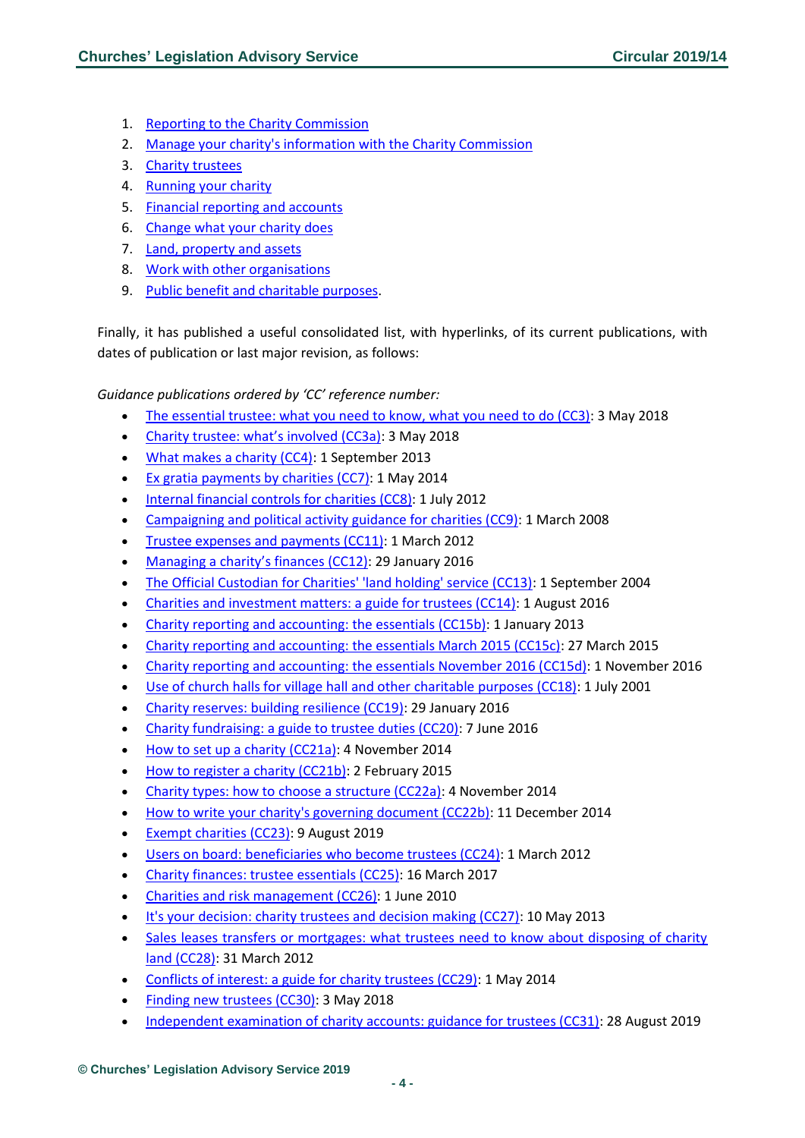- 1. [Reporting to the Charity Commission](https://www.gov.uk/government/collections/managing-your-charity-guidance?utm_source=dcc041b7-98e1-4253-802f-a0a106f9477b&utm_medium=email&utm_campaign=govuk-notifications&utm_content=immediate#reporting-to-the-charity-commission)
- 2. [Manage your charity's information with the Charity Commission](https://www.gov.uk/government/collections/managing-your-charity-guidance?utm_source=dcc041b7-98e1-4253-802f-a0a106f9477b&utm_medium=email&utm_campaign=govuk-notifications&utm_content=immediate#manage-your-charity)
- 3. [Charity trustees](https://www.gov.uk/government/collections/managing-your-charity-guidance?utm_source=dcc041b7-98e1-4253-802f-a0a106f9477b&utm_medium=email&utm_campaign=govuk-notifications&utm_content=immediate#charity-trustees)
- 4. [Running your charity](https://www.gov.uk/government/collections/managing-your-charity-guidance?utm_source=dcc041b7-98e1-4253-802f-a0a106f9477b&utm_medium=email&utm_campaign=govuk-notifications&utm_content=immediate#running-your-charity)
- 5. [Financial reporting and accounts](https://www.gov.uk/government/collections/managing-your-charity-guidance?utm_source=dcc041b7-98e1-4253-802f-a0a106f9477b&utm_medium=email&utm_campaign=govuk-notifications&utm_content=immediate#financial-reporting-and-accounts)
- 6. [Change what your charity does](https://www.gov.uk/government/collections/managing-your-charity-guidance?utm_source=dcc041b7-98e1-4253-802f-a0a106f9477b&utm_medium=email&utm_campaign=govuk-notifications&utm_content=immediate#change-what-your-charity-does)
- 7. [Land, property and assets](https://www.gov.uk/government/collections/managing-your-charity-guidance?utm_source=dcc041b7-98e1-4253-802f-a0a106f9477b&utm_medium=email&utm_campaign=govuk-notifications&utm_content=immediate#land,-property-and-assets)
- 8. [Work with other organisations](https://www.gov.uk/government/collections/managing-your-charity-guidance?utm_source=dcc041b7-98e1-4253-802f-a0a106f9477b&utm_medium=email&utm_campaign=govuk-notifications&utm_content=immediate#work-with-other-organisations)
- 9. [Public benefit and charitable purposes.](https://www.gov.uk/government/collections/managing-your-charity-guidance?utm_source=dcc041b7-98e1-4253-802f-a0a106f9477b&utm_medium=email&utm_campaign=govuk-notifications&utm_content=immediate#public-benefit-and-charitable-purposes)

Finally, it has published a useful consolidated list, with hyperlinks, of its current publications, with dates of publication or last major revision, as follows:

*Guidance publications ordered by 'CC' reference number:*

- [The essential trustee: what you need to know, what you need to do \(CC3\):](https://www.gov.uk/government/publications/the-essential-trustee-what-you-need-to-know-cc3) 3 May 2018
- [Charity trustee: what's involved \(CC3a\)](https://www.gov.uk/guidance/charity-trustee-whats-involved): 3 May 2018
- [What makes a charity \(CC4\):](https://www.gov.uk/government/publications/what-makes-a-charity-cc4) 1 September 2013
- [Ex gratia payments by charities \(CC7\):](https://www.gov.uk/government/publications/ex-gratia-payments-by-charities-cc7) 1 May 2014
- [Internal financial controls for charities \(CC8\):](https://www.gov.uk/government/publications/internal-financial-controls-for-charities-cc8) 1 July 2012
- [Campaigning and political activity guidance for charities \(CC9\):](https://www.gov.uk/government/publications/speaking-out-guidance-on-campaigning-and-political-activity-by-charities-cc9) 1 March 2008
- [Trustee expenses and payments \(CC11\):](https://www.gov.uk/government/publications/trustee-expenses-and-payments-cc11) 1 March 2012
- [Managing a charity's finances \(CC12\)](https://www.gov.uk/government/publications/managing-financial-difficulties-insolvency-in-charities-cc12): 29 January 2016
- [The Official Custodian for Charities' 'land holding' service \(CC13\):](https://www.gov.uk/government/publications/the-official-custodian-for-charities-land-holding-service-cc13) 1 September 2004
- [Charities and investment matters: a guide for trustees \(CC14\):](https://www.gov.uk/government/publications/charities-and-investment-matters-a-guide-for-trustees-cc14) 1 August 2016
- [Charity reporting and accounting: the essentials \(CC15b\):](https://www.gov.uk/government/publications/charity-reporting-and-accounting-the-essentials-cc15b) 1 January 2013
- [Charity reporting and accounting: the essentials March 2015 \(CC15c\):](https://www.gov.uk/government/publications/charity-reporting-and-accounting-the-essentials-march-2015-cc15c) 27 March 2015
- [Charity reporting and accounting: the essentials November 2016 \(CC15d\):](https://www.gov.uk/government/publications/charity-reporting-and-accounting-the-essentials-november-2016-cc15d) 1 November 2016
- [Use of church halls for village hall and other charitable purposes \(CC18\):](https://www.gov.uk/government/publications/use-of-church-halls-for-village-hall-and-other-charitable-purposes-cc18) 1 July 2001
- [Charity reserves: building resilience \(CC19\):](https://www.gov.uk/government/publications/charities-and-reserves-cc19) 29 January 2016
- [Charity fundraising: a guide to trustee duties \(CC20\):](https://www.gov.uk/government/publications/charities-and-fundraising-cc20) 7 June 2016
- [How to set up a charity \(CC21a\):](https://www.gov.uk/guidance/how-to-set-up-a-charity-cc21a) 4 November 2014
- [How to register a charity \(CC21b\):](https://www.gov.uk/guidance/how-to-register-your-charity-cc21b) 2 February 2015
- [Charity types: how to choose a structure \(CC22a\):](https://www.gov.uk/guidance/charity-types-how-to-choose-a-structure) 4 November 2014
- [How to write your charity's governing document \(CC22b\):](https://www.gov.uk/guidance/how-to-write-your-charitys-governing-document) 11 December 2014
- [Exempt charities \(CC23\):](https://www.gov.uk/government/publications/exempt-charities-cc23) 9 August 2019
- [Users on board: beneficiaries who become trustees \(CC24\):](https://www.gov.uk/government/publications/users-on-board-beneficiaries-who-become-trustees-cc24) 1 March 2012
- [Charity finances: trustee essentials \(CC25\):](https://www.gov.uk/government/publications/managing-charity-assets-and-resources-cc25) 16 March 2017
- [Charities and risk management \(CC26\):](https://www.gov.uk/government/publications/charities-and-risk-management-cc26) 1 June 2010
- [It's your decision: charity trustees and decision making \(CC27\):](https://www.gov.uk/government/publications/its-your-decision-charity-trustees-and-decision-making) 10 May 2013
- Sales leases transfers or mortgages: what trustees need to know about disposing of charity [land \(CC28\):](https://www.gov.uk/government/publications/sales-leases-transfers-or-mortgages-what-trustees-need-to-know-about-disposing-of-charity-land-cc28) 31 March 2012
- [Conflicts of interest: a guide for charity trustees \(CC29\):](https://www.gov.uk/government/publications/conflicts-of-interest-a-guide-for-charity-trustees-cc29) 1 May 2014
- [Finding new trustees \(CC30\):](https://www.gov.uk/government/publications/finding-new-trustees-cc30) 3 May 2018
- [Independent examination of charity accounts: guidance for trustees \(CC31\):](https://www.gov.uk/government/publications/independent-examination-of-charity-accounts-trustees-cc31) 28 August 2019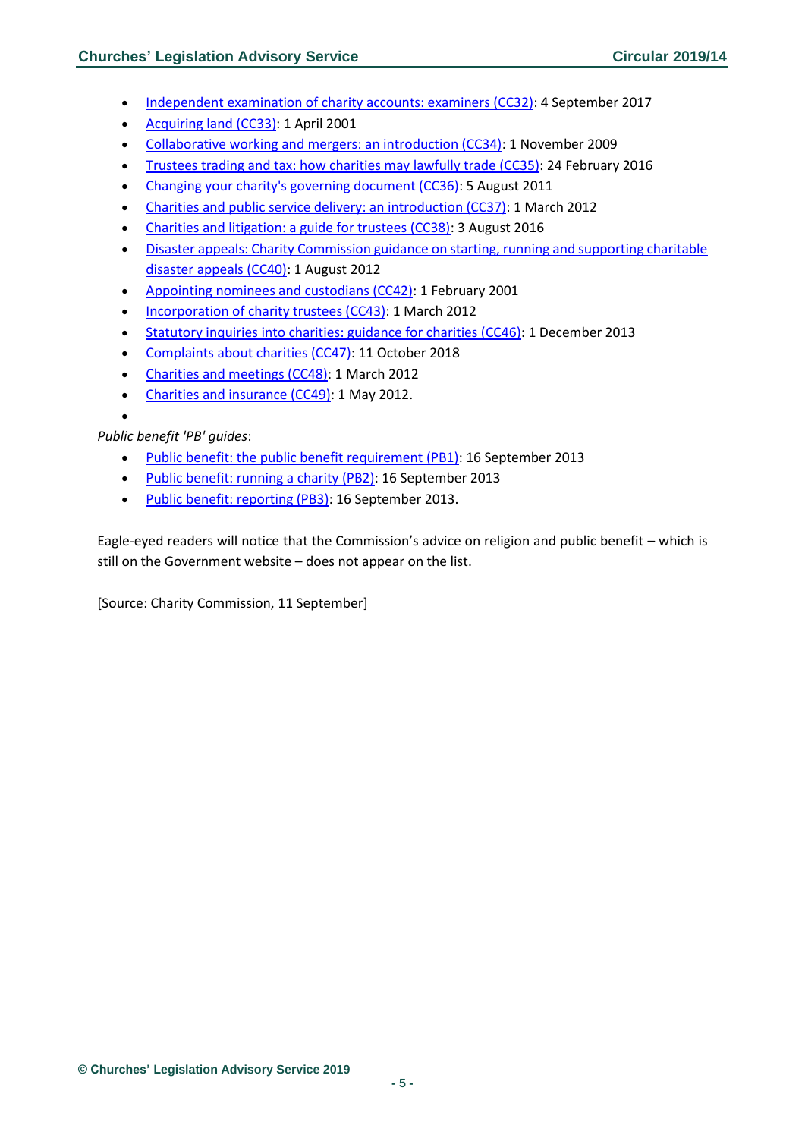- [Independent examination of charity accounts: examiners \(CC32\):](https://www.gov.uk/government/publications/independent-examination-of-charity-accounts-examiners-cc32) 4 September 2017
- [Acquiring land \(CC33\):](https://www.gov.uk/government/publications/acquiring-land-cc33) 1 April 2001
- [Collaborative working and mergers: an introduction \(CC34\):](https://www.gov.uk/government/publications/collaborative-working-and-mergers-an-introduction-cc34) 1 November 2009
- [Trustees trading and tax: how charities may lawfully trade \(CC35\):](https://www.gov.uk/government/publications/trustees-trading-and-tax-how-charities-may-lawfully-trade-cc35) 24 February 2016
- [Changing your charity's governing document \(CC36\):](https://www.gov.uk/government/publications/changing-your-charitys-governing-document-cc36) 5 August 2011
- [Charities and public service delivery: an introduction \(CC37\):](https://www.gov.uk/government/publications/charities-and-public-service-delivery-an-introduction-cc37) 1 March 2012
- [Charities and litigation: a guide for trustees \(CC38\):](https://www.gov.uk/government/publications/charities-and-litigation-a-guide-for-trustees-cc38) 3 August 2016
- [Disaster appeals: Charity Commission guidance on starting, running and supporting charitable](https://www.gov.uk/government/publications/disaster-appeals-charity-commission-guidance-on-starting-running-and-supporting-charitable-disaster-appeals-cc40)  [disaster appeals \(CC40\):](https://www.gov.uk/government/publications/disaster-appeals-charity-commission-guidance-on-starting-running-and-supporting-charitable-disaster-appeals-cc40) 1 August 2012
- [Appointing nominees and custodians \(CC42\):](https://www.gov.uk/government/publications/appointing-nominees-and-custodians-cc42) 1 February 2001
- [Incorporation of charity trustees \(CC43\):](https://www.gov.uk/government/publications/incorporation-of-charity-trustees-cc43) 1 March 2012
- [Statutory inquiries into charities: guidance for charities \(CC46\):](https://www.gov.uk/government/publications/statutory-inquiries-into-charities-guidance-for-charities-cc46) 1 December 2013
- [Complaints about charities \(CC47\):](https://www.gov.uk/government/publications/complaints-about-charities) 11 October 2018
- [Charities and meetings \(CC48\):](https://www.gov.uk/government/publications/charities-and-meetings-cc48) 1 March 2012
- [Charities and insurance \(CC49\):](https://www.gov.uk/government/publications/charities-and-insurance-cc49) 1 May 2012.

•

### *Public benefit 'PB' guides*:

- [Public benefit: the public benefit requirement \(PB1\):](https://www.gov.uk/government/publications/public-benefit-the-public-benefit-requirement-pb1) 16 September 2013
- [Public benefit: running a charity \(PB2\):](https://www.gov.uk/government/publications/public-benefit-running-a-charity-pb2) 16 September 2013
- [Public benefit: reporting \(PB3\):](https://www.gov.uk/government/publications/public-benefit-reporting-pb3) 16 September 2013.

Eagle-eyed readers will notice that the Commission's advice on religion and public benefit – which is still on the Government website – does not appear on the list.

[Source: Charity Commission, 11 September]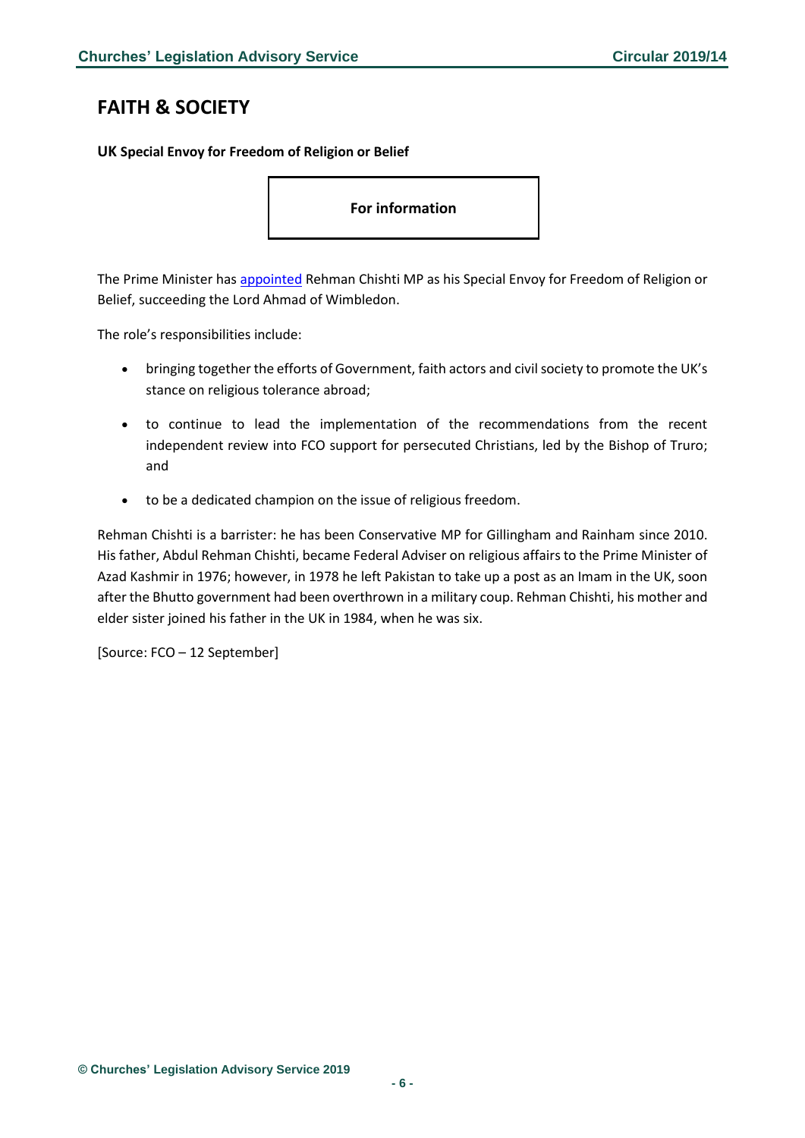# <span id="page-5-0"></span>**FAITH & SOCIETY**

<span id="page-5-1"></span>**UK Special Envoy for Freedom of Religion or Belief**

**For information**

The Prime Minister has [appointed](https://www.gov.uk/government/news/uk-appoints-new-pm-envoy-for-freedom-of-religion-belief) Rehman Chishti MP as his Special Envoy for Freedom of Religion or Belief, succeeding the Lord Ahmad of Wimbledon.

The role's responsibilities include:

- bringing together the efforts of Government, faith actors and civil society to promote the UK's stance on religious tolerance abroad;
- to continue to lead the implementation of the recommendations from the recent independent review into FCO support for persecuted Christians, led by the Bishop of Truro; and
- to be a dedicated champion on the issue of religious freedom.

Rehman Chishti is a barrister: he has been Conservative MP for Gillingham and Rainham since 2010. His father, Abdul Rehman Chishti, became Federal Adviser on religious affairs to the Prime Minister of Azad Kashmir in 1976; however, in 1978 he left Pakistan to take up a post as an Imam in the UK, soon after the Bhutto government had been overthrown in a military coup. Rehman Chishti, his mother and elder sister joined his father in the UK in 1984, when he was six.

[Source: FCO – 12 September]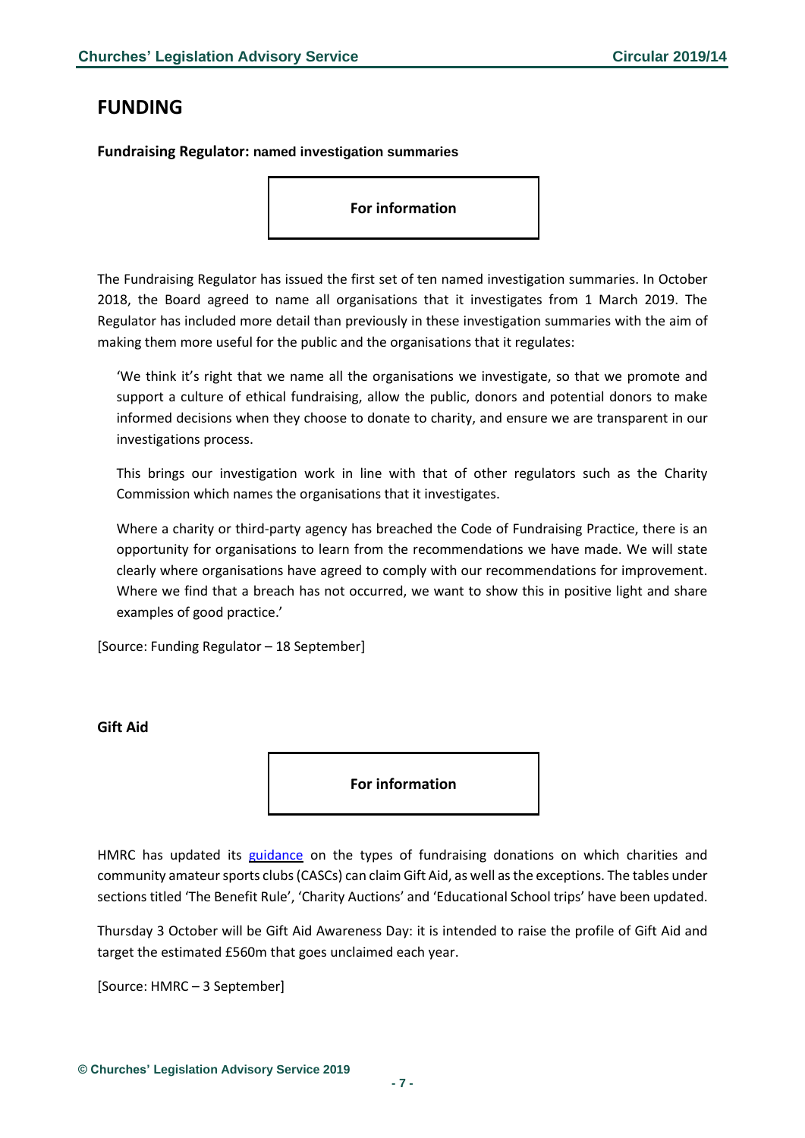# <span id="page-6-0"></span>**FUNDING**

<span id="page-6-1"></span>**Fundraising Regulator: named investigation summaries**

#### **For information**

The Fundraising Regulator has issued the first set of ten named investigation summaries. In October 2018, the Board agreed to name all organisations that it investigates from 1 March 2019. The Regulator has included more detail than previously in these investigation summaries with the aim of making them more useful for the public and the organisations that it regulates:

'We think it's right that we name all the organisations we investigate, so that we promote and support a culture of ethical fundraising, allow the public, donors and potential donors to make informed decisions when they choose to donate to charity, and ensure we are transparent in our investigations process.

This brings our investigation work in line with that of other regulators such as the Charity Commission which names the organisations that it investigates.

Where a charity or third-party agency has breached the Code of Fundraising Practice, there is an opportunity for organisations to learn from the recommendations we have made. We will state clearly where organisations have agreed to comply with our recommendations for improvement. Where we find that a breach has not occurred, we want to show this in positive light and share examples of good practice.'

[Source: Funding Regulator – 18 September]

### <span id="page-6-2"></span>**Gift Aid**

**For information**

HMRC has updated its [guidance](https://www.gov.uk/guidance/gift-aid-what-donations-charities-and-cascs-can-claim-on?utm_source=e30bc10f-ee76-42f1-942c-11f9bca6982e&utm_medium=email&utm_campaign=govuk-notifications&utm_content=daily#history) on the types of fundraising donations on which charities and community amateur sports clubs (CASCs) can claim Gift Aid, as well as the exceptions. The tables under sections titled 'The Benefit Rule', 'Charity Auctions' and 'Educational School trips' have been updated.

Thursday 3 October will be Gift Aid Awareness Day: it is intended to raise the profile of Gift Aid and target the estimated £560m that goes unclaimed each year.

[Source: HMRC – 3 September]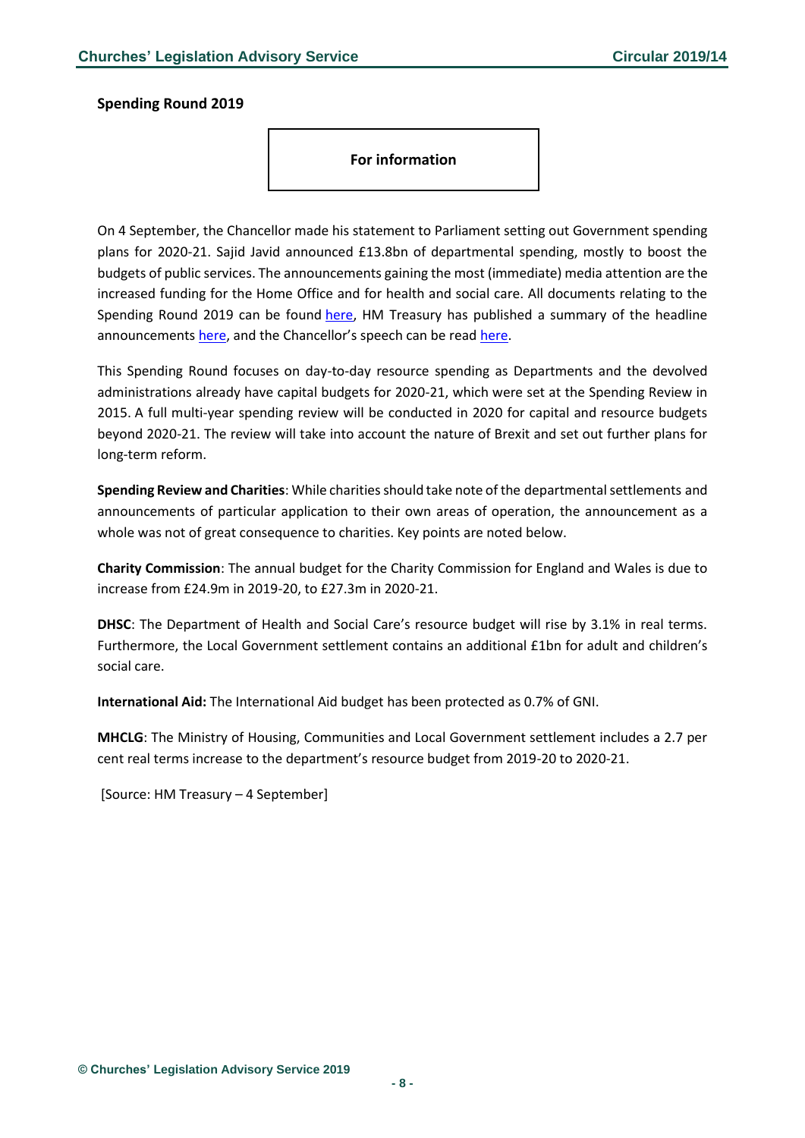#### <span id="page-7-0"></span>**Spending Round 2019**

**For information**

On 4 September, the Chancellor made his statement to Parliament setting out Government spending plans for 2020-21. Sajid Javid announced £13.8bn of departmental spending, mostly to boost the budgets of public services. The announcements gaining the most (immediate) media attention are the increased funding for the Home Office and for health and social care. All documents relating to the Spending Round 2019 can be found [here,](https://www.gov.uk/government/publications/spending-round-2019-document/spending-round-2019) HM Treasury has published a summary of the headline announcements [here](https://www.gov.uk/government/news/spending-round-2019-what-you-need-to-know), and the Chancellor's speech can be read [here.](https://www.gov.uk/government/speeches/spending-round-2019-sajid-javids-speech)

This Spending Round focuses on day-to-day resource spending as Departments and the devolved administrations already have capital budgets for 2020-21, which were set at the Spending Review in 2015. A full multi-year spending review will be conducted in 2020 for capital and resource budgets beyond 2020-21. The review will take into account the nature of Brexit and set out further plans for long-term reform.

**Spending Review and Charities**: While charities should take note of the departmental settlements and announcements of particular application to their own areas of operation, the announcement as a whole was not of great consequence to charities. Key points are noted below.

**Charity Commission**: The annual budget for the Charity Commission for England and Wales is due to increase from £24.9m in 2019-20, to £27.3m in 2020-21.

**DHSC**: The Department of Health and Social Care's resource budget will rise by 3.1% in real terms. Furthermore, the Local Government settlement contains an additional £1bn for adult and children's social care.

**International Aid:** The International Aid budget has been protected as 0.7% of GNI.

**MHCLG**: The Ministry of Housing, Communities and Local Government settlement includes a 2.7 per cent real terms increase to the department's resource budget from 2019-20 to 2020-21.

[Source: HM Treasury – 4 September]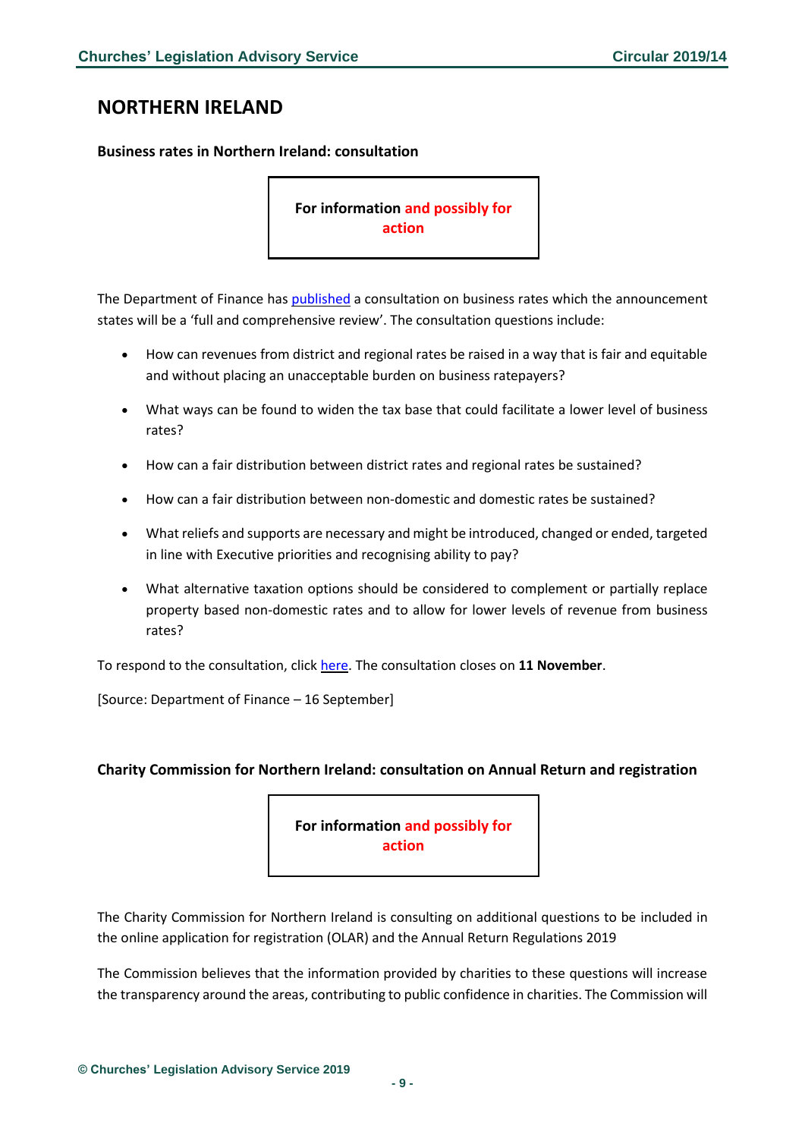# <span id="page-8-0"></span>**NORTHERN IRELAND**

### <span id="page-8-1"></span>**Business rates in Northern Ireland: consultation**

**For information and possibly for action** 

The Department of Finance has [published](https://www.finance-ni.gov.uk/consultations/business-rates) a consultation on business rates which the announcement states will be a 'full and comprehensive review'. The consultation questions include:

- How can revenues from district and regional rates be raised in a way that is fair and equitable and without placing an unacceptable burden on business ratepayers?
- What ways can be found to widen the tax base that could facilitate a lower level of business rates?
- How can a fair distribution between district rates and regional rates be sustained?
- How can a fair distribution between non-domestic and domestic rates be sustained?
- What reliefs and supports are necessary and might be introduced, changed or ended, targeted in line with Executive priorities and recognising ability to pay?
- What alternative taxation options should be considered to complement or partially replace property based non-domestic rates and to allow for lower levels of revenue from business rates?

To respond to the consultation, click [here.](https://consultations.nidirect.gov.uk/dof-internal-communications/department-of-finance-business-rates-consultation/) The consultation closes on **11 November**.

[Source: Department of Finance – 16 September]

### <span id="page-8-2"></span>**Charity Commission for Northern Ireland: consultation on Annual Return and registration**

**For information and possibly for action** 

The Charity Commission for Northern Ireland is consulting on additional questions to be included in the online application for registration (OLAR) and the Annual Return Regulations 2019

The Commission believes that the information provided by charities to these questions will increase the transparency around the areas, contributing to public confidence in charities. The Commission will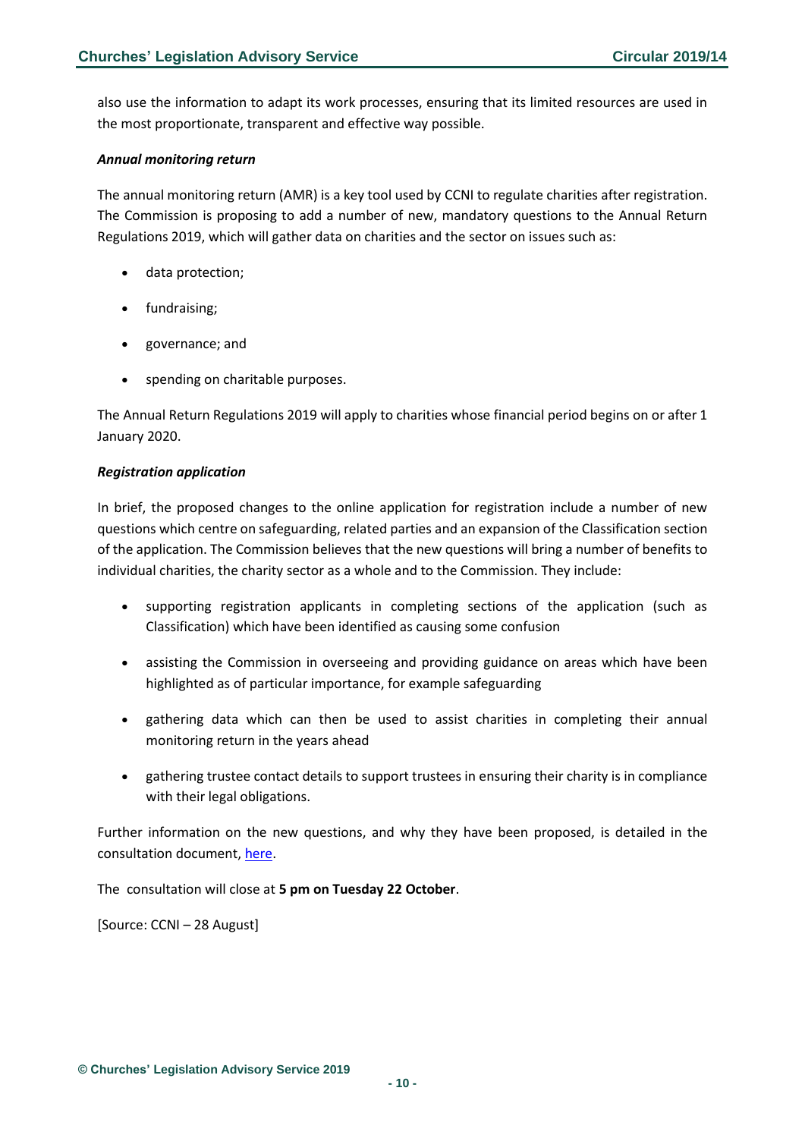also use the information to adapt its work processes, ensuring that its limited resources are used in the most proportionate, transparent and effective way possible.

#### *Annual monitoring return*

The annual monitoring return (AMR) is a key tool used by CCNI to regulate charities after registration. The Commission is proposing to add a number of new, mandatory questions to the Annual Return Regulations 2019, which will gather data on charities and the sector on issues such as:

- data protection;
- fundraising;
- governance; and
- spending on charitable purposes.

The Annual Return Regulations 2019 will apply to charities whose financial period begins on or after 1 January 2020.

#### *Registration application*

In brief, the proposed changes to the online application for registration include a number of new questions which centre on safeguarding, related parties and an expansion of the Classification section of the application. The Commission believes that the new questions will bring a number of benefits to individual charities, the charity sector as a whole and to the Commission. They include:

- supporting registration applicants in completing sections of the application (such as Classification) which have been identified as causing some confusion
- assisting the Commission in overseeing and providing guidance on areas which have been highlighted as of particular importance, for example safeguarding
- gathering data which can then be used to assist charities in completing their annual monitoring return in the years ahead
- gathering trustee contact details to support trustees in ensuring their charity is in compliance with their legal obligations.

Further information on the new questions, and why they have been proposed, is detailed in the consultation document, [here.](https://www.charitycommissionni.org.uk/about-us/public-consultations/current-consultations?utm_source=Bates%20Wells%20Braithwaite&utm_medium=email&utm_campaign=10848577_Briefing%2003.09.19&dm_i=1Y95,6GITD,EQ22GV,PMG9S,1)

The consultation will close at **5 pm on Tuesday 22 October**.

[Source: CCNI – 28 August]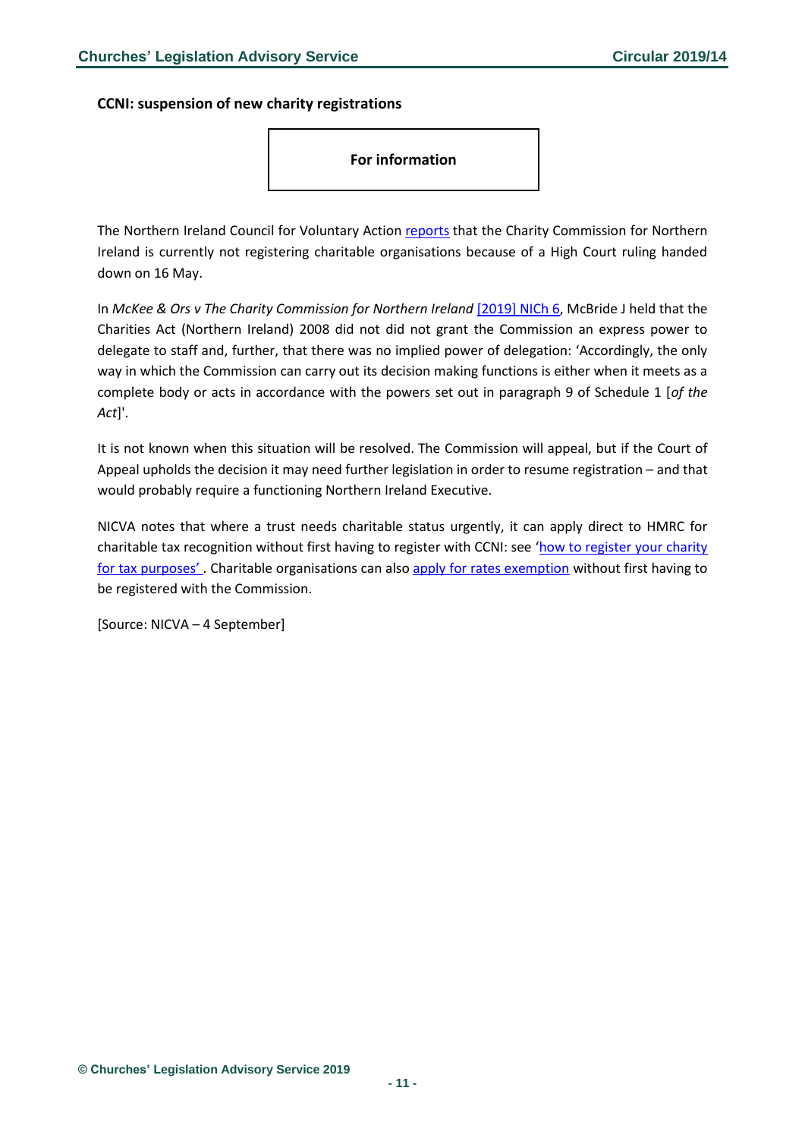<span id="page-10-0"></span>**CCNI: suspension of new charity registrations**

**For information**

The Northern Ireland Council for Voluntary Action [reports](https://www.nicva.org/article/charity-commission-suspends-charity-registration?utm_source=Bates%20Wells%20Braithwaite&utm_medium=email&utm_campaign=10868119_Briefing%2010.09.19&dm_i=1Y95,6GXW7,EQ22GV,PO6FC,1) that the Charity Commission for Northern Ireland is currently not registering charitable organisations because of a High Court ruling handed down on 16 May.

In *McKee & Ors v The Charity Commission for Northern Ireland* [\[2019\] NICh 6,](https://www.bailii.org/nie/cases/NIHC/Ch/2019/6.pdf) McBride J held that the Charities Act (Northern Ireland) 2008 did not did not grant the Commission an express power to delegate to staff and, further, that there was no implied power of delegation: 'Accordingly, the only way in which the Commission can carry out its decision making functions is either when it meets as a complete body or acts in accordance with the powers set out in paragraph 9 of Schedule 1 [*of the Act*]'.

It is not known when this situation will be resolved. The Commission will appeal, but if the Court of Appeal upholds the decision it may need further legislation in order to resume registration – and that would probably require a functioning Northern Ireland Executive.

NICVA notes that where a trust needs charitable status urgently, it can apply direct to HMRC for charitable tax recognition without first having to register with CCNI: see 'how to register your charity [for tax purposes'](https://www.nicva.org/resource/charitable-status). Charitable organisations can also [apply for rates exemption](https://www.nibusinessinfo.co.uk/content/charitable-exemption-rates) without first having to be registered with the Commission.

[Source: NICVA – 4 September]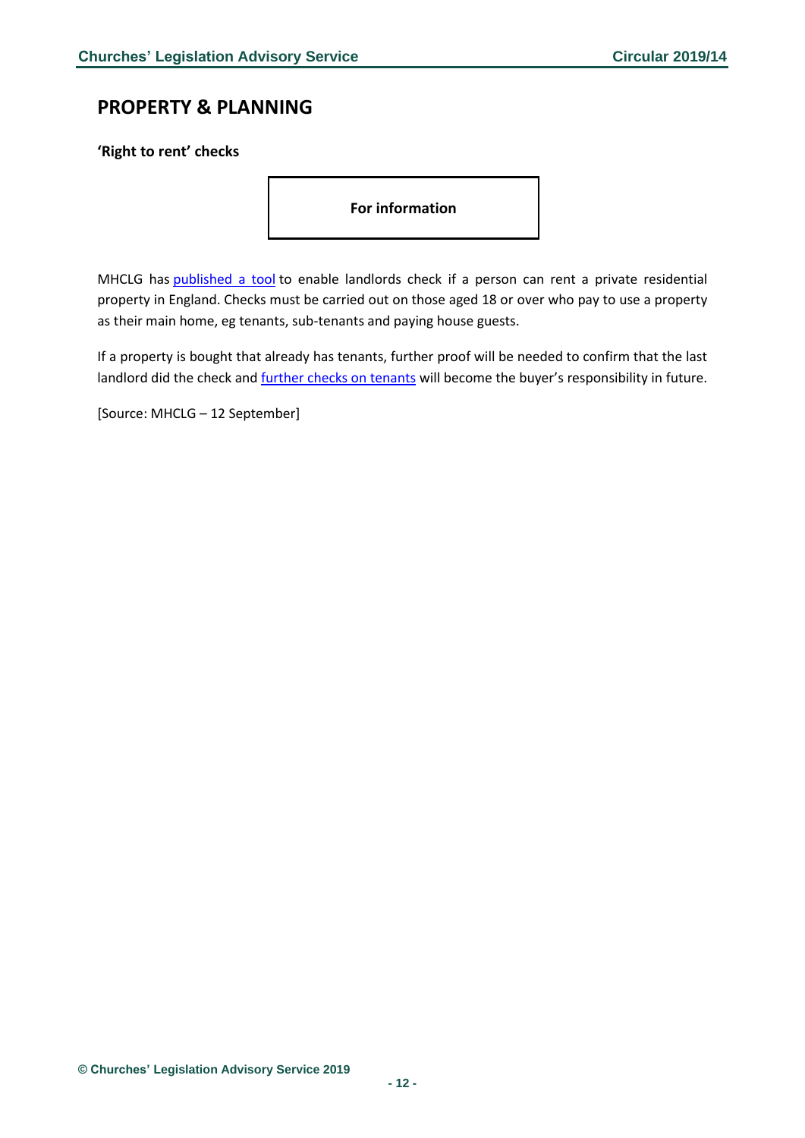# <span id="page-11-0"></span>**PROPERTY & PLANNING**

<span id="page-11-1"></span>**'Right to rent' checks**

**For information** 

MHCLG has [published a tool](https://www.gov.uk/landlord-immigration-check) to enable landlords check if a person can rent a private residential property in England. Checks must be carried out on those aged 18 or over who pay to use a property as their main home, eg tenants, sub-tenants and paying house guests.

If a property is bought that already has tenants, further proof will be needed to confirm that the last landlord did the check and [further checks on tenants](https://www.gov.uk/check-tenant-right-to-rent-documents/further-checks) will become the buyer's responsibility in future.

[Source: MHCLG – 12 September]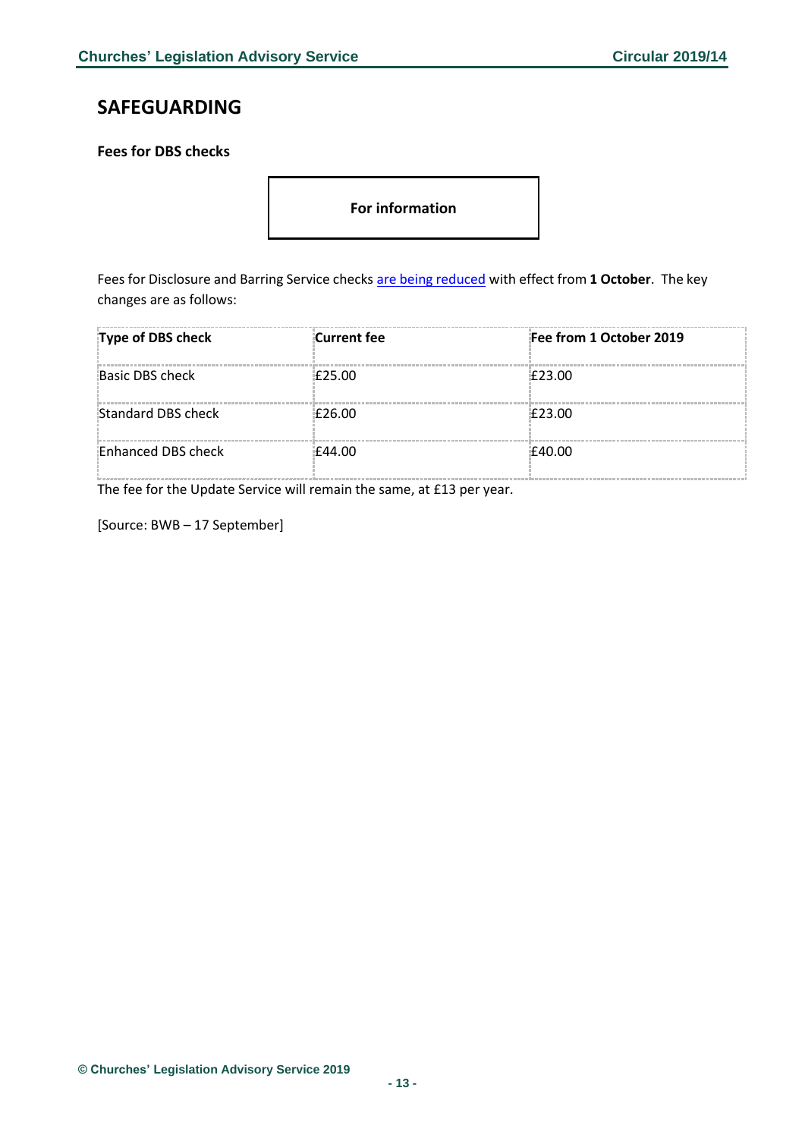# <span id="page-12-0"></span>**SAFEGUARDING**

<span id="page-12-1"></span>**Fees for DBS checks**

**For information** 

Fees for Disclosure and Barring Service checks [are being reduced](https://dmtrk.net/1Y95-6HDWJ-EQ22GV-3R2HD4-1/c.aspx) with effect from **1 October**. The key changes are as follows:

| Type of DBS check  | Current fee | Fee from 1 October 2019 |
|--------------------|-------------|-------------------------|
| Basic DBS check    | £25.00      | E23.00                  |
| Standard DBS check | £26.00      | £23.00                  |
| Enhanced DBS check | £44.00      | £40.00                  |

The fee for the Update Service will remain the same, at £13 per year.

[Source: BWB – 17 September]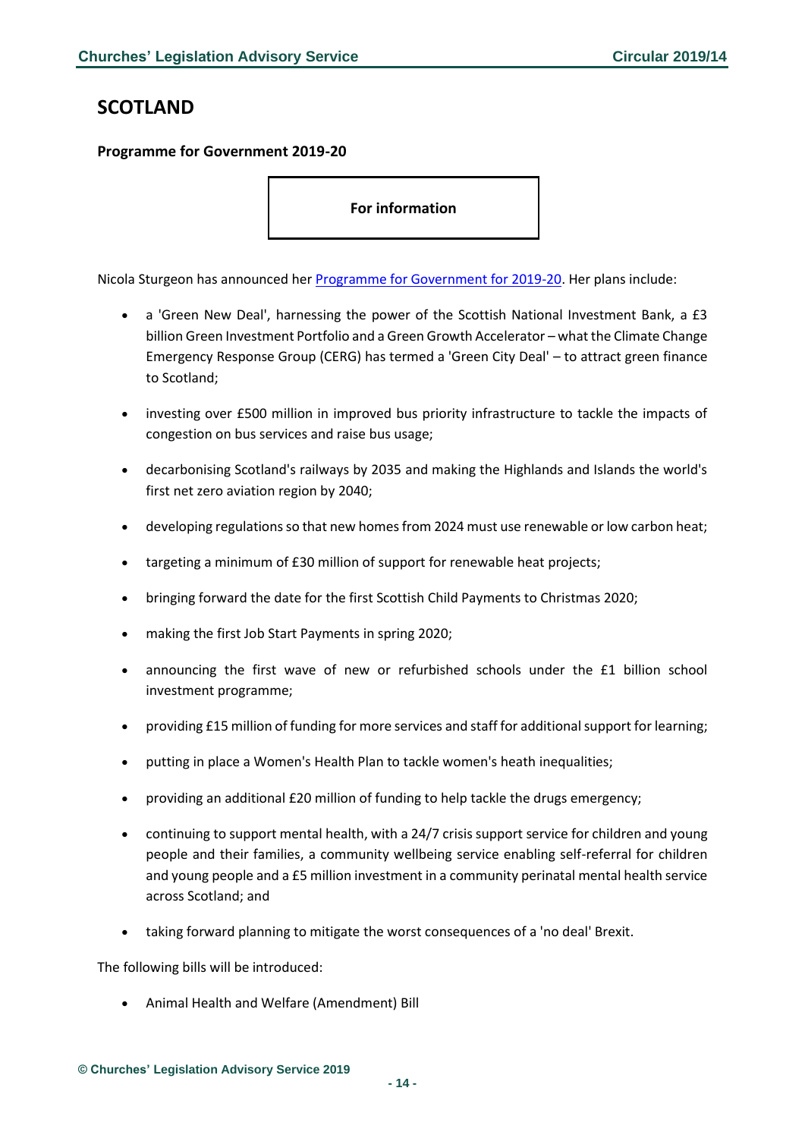# <span id="page-13-0"></span>**SCOTLAND**

### <span id="page-13-1"></span>**Programme for Government 2019-20**

**For information** 

Nicola Sturgeon has announced her [Programme for Government for 2019-20.](https://www.gov.scot/publications/protecting-scotlands-future-governments-programme-scotland-2019-20/) Her plans include:

- a 'Green New Deal', harnessing the power of the Scottish National Investment Bank, a £3 billion Green Investment Portfolio and a Green Growth Accelerator – what the Climate Change Emergency Response Group (CERG) has termed a 'Green City Deal' – to attract green finance to Scotland;
- investing over £500 million in improved bus priority infrastructure to tackle the impacts of congestion on bus services and raise bus usage;
- decarbonising Scotland's railways by 2035 and making the Highlands and Islands the world's first net zero aviation region by 2040;
- developing regulations so that new homes from 2024 must use renewable or low carbon heat;
- targeting a minimum of £30 million of support for renewable heat projects;
- bringing forward the date for the first Scottish Child Payments to Christmas 2020;
- making the first Job Start Payments in spring 2020;
- announcing the first wave of new or refurbished schools under the £1 billion school investment programme;
- providing £15 million of funding for more services and staff for additional support for learning;
- putting in place a Women's Health Plan to tackle women's heath inequalities;
- providing an additional £20 million of funding to help tackle the drugs emergency;
- continuing to support mental health, with a 24/7 crisis support service for children and young people and their families, a community wellbeing service enabling self-referral for children and young people and a £5 million investment in a community perinatal mental health service across Scotland; and
- taking forward planning to mitigate the worst consequences of a 'no deal' Brexit.

The following bills will be introduced:

• Animal Health and Welfare (Amendment) Bill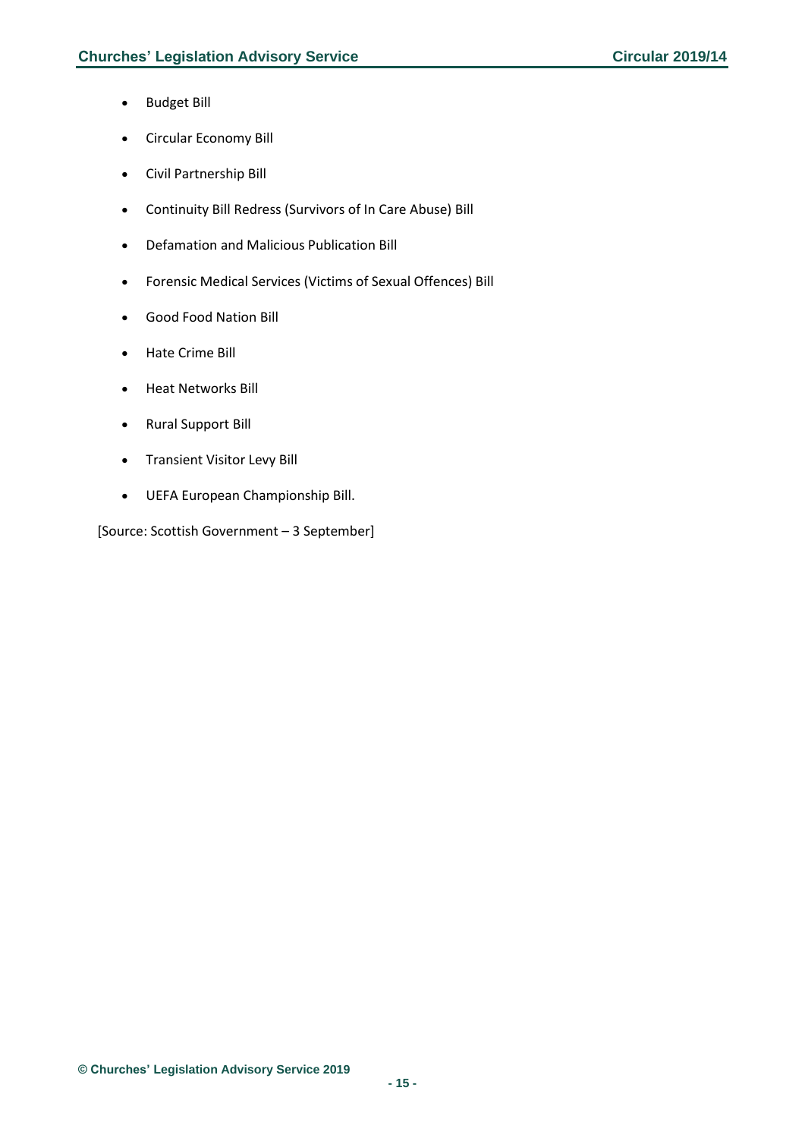- Budget Bill
- Circular Economy Bill
- Civil Partnership Bill
- Continuity Bill Redress (Survivors of In Care Abuse) Bill
- Defamation and Malicious Publication Bill
- Forensic Medical Services (Victims of Sexual Offences) Bill
- Good Food Nation Bill
- Hate Crime Bill
- Heat Networks Bill
- Rural Support Bill
- Transient Visitor Levy Bill
- UEFA European Championship Bill.

[Source: Scottish Government – 3 September]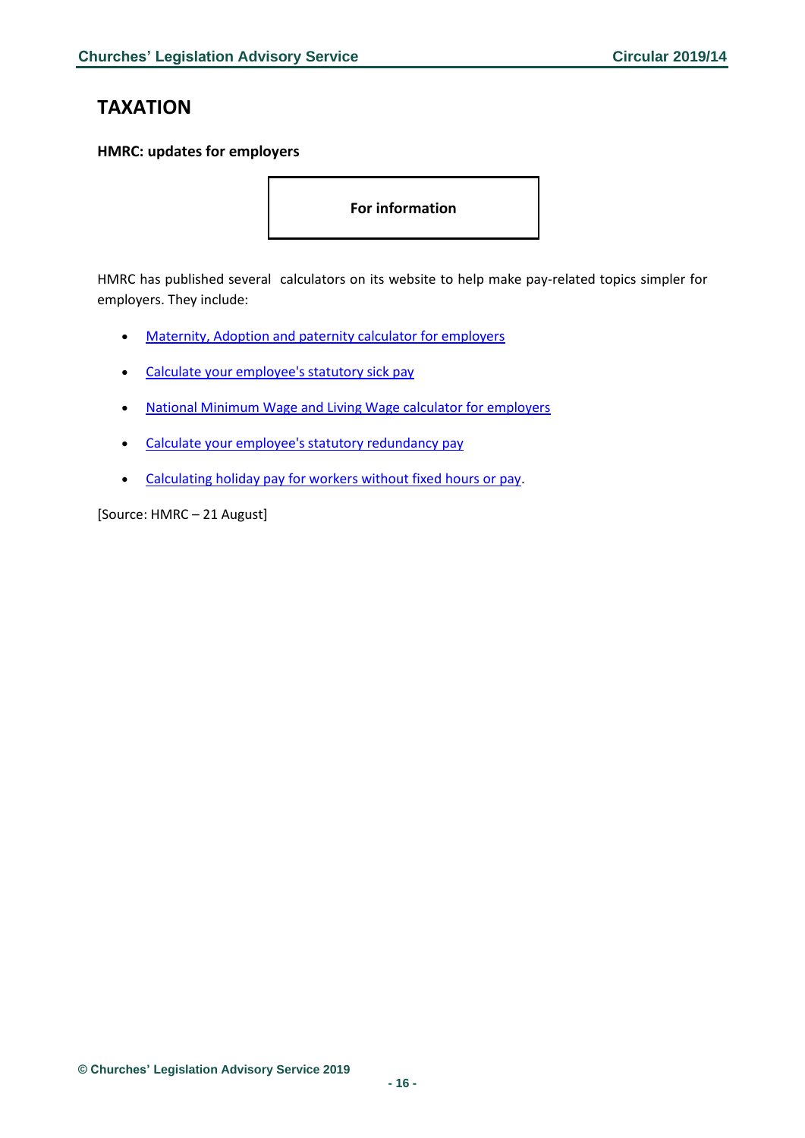# <span id="page-15-0"></span>**TAXATION**

### <span id="page-15-1"></span>**HMRC: updates for employers**

**For information** 

HMRC has published several calculators on its website to help make pay-related topics simpler for employers. They include:

- [Maternity, Adoption and paternity calculator for employers](https://www.gov.uk/maternity-paternity-calculator)
- [Calculate your employee's statutory sick pay](https://www.gov.uk/calculate-statutory-sick-pay)
- [National Minimum Wage and Living Wage calculator for employers](https://www.gov.uk/minimum-wage-calculator-employers)
- [Calculate your employee's statutory redundancy pay](https://www.gov.uk/calculate-employee-redundancy-pay)
- [Calculating holiday pay for workers without fixed hours or pay.](https://www.gov.uk/government/publications/calculating-holiday-pay-for-workers-without-fixed-hours-or-pay?utm_source=639d7f8d-6ace-49e6-a529-a30786a97c35&utm_medium=email&utm_campaign=govuk-notifications&utm_content=daily)

[Source: HMRC – 21 August]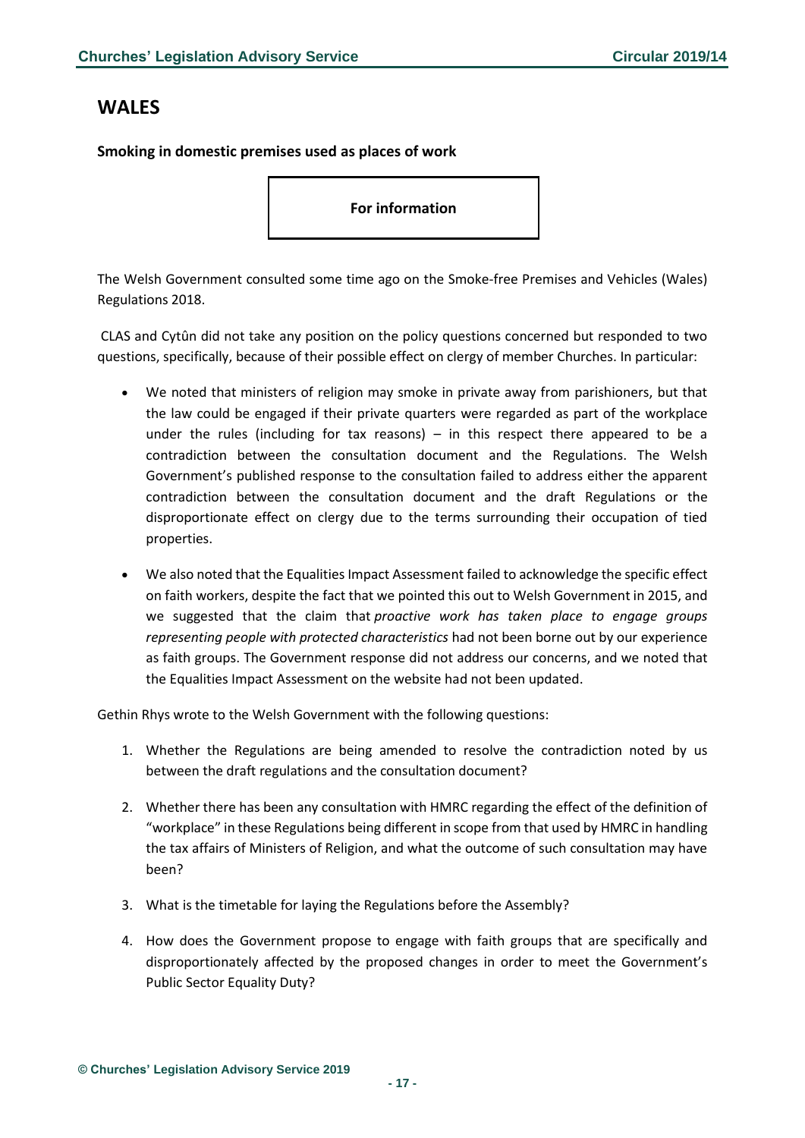### <span id="page-16-0"></span>**WALES**

<span id="page-16-1"></span>**Smoking in domestic premises used as places of work**

**For information** 

The Welsh Government consulted some time ago on the Smoke-free Premises and Vehicles (Wales) Regulations 2018.

CLAS and Cytûn did not take any position on the policy questions concerned but responded to two questions, specifically, because of their possible effect on clergy of member Churches. In particular:

- We noted that ministers of religion may smoke in private away from parishioners, but that the law could be engaged if their private quarters were regarded as part of the workplace under the rules (including for tax reasons) – in this respect there appeared to be a contradiction between the consultation document and the Regulations. The Welsh Government's published response to the consultation failed to address either the apparent contradiction between the consultation document and the draft Regulations or the disproportionate effect on clergy due to the terms surrounding their occupation of tied properties.
- We also noted that the Equalities Impact Assessment failed to acknowledge the specific effect on faith workers, despite the fact that we pointed this out to Welsh Government in 2015, and we suggested that the claim that *proactive work has taken place to engage groups representing people with protected characteristics* had not been borne out by our experience as faith groups. The Government response did not address our concerns, and we noted that the Equalities Impact Assessment on the website had not been updated.

Gethin Rhys wrote to the Welsh Government with the following questions:

- 1. Whether the Regulations are being amended to resolve the contradiction noted by us between the draft regulations and the consultation document?
- 2. Whether there has been any consultation with HMRC regarding the effect of the definition of "workplace" in these Regulations being different in scope from that used by HMRC in handling the tax affairs of Ministers of Religion, and what the outcome of such consultation may have been?
- 3. What is the timetable for laying the Regulations before the Assembly?
- 4. How does the Government propose to engage with faith groups that are specifically and disproportionately affected by the proposed changes in order to meet the Government's Public Sector Equality Duty?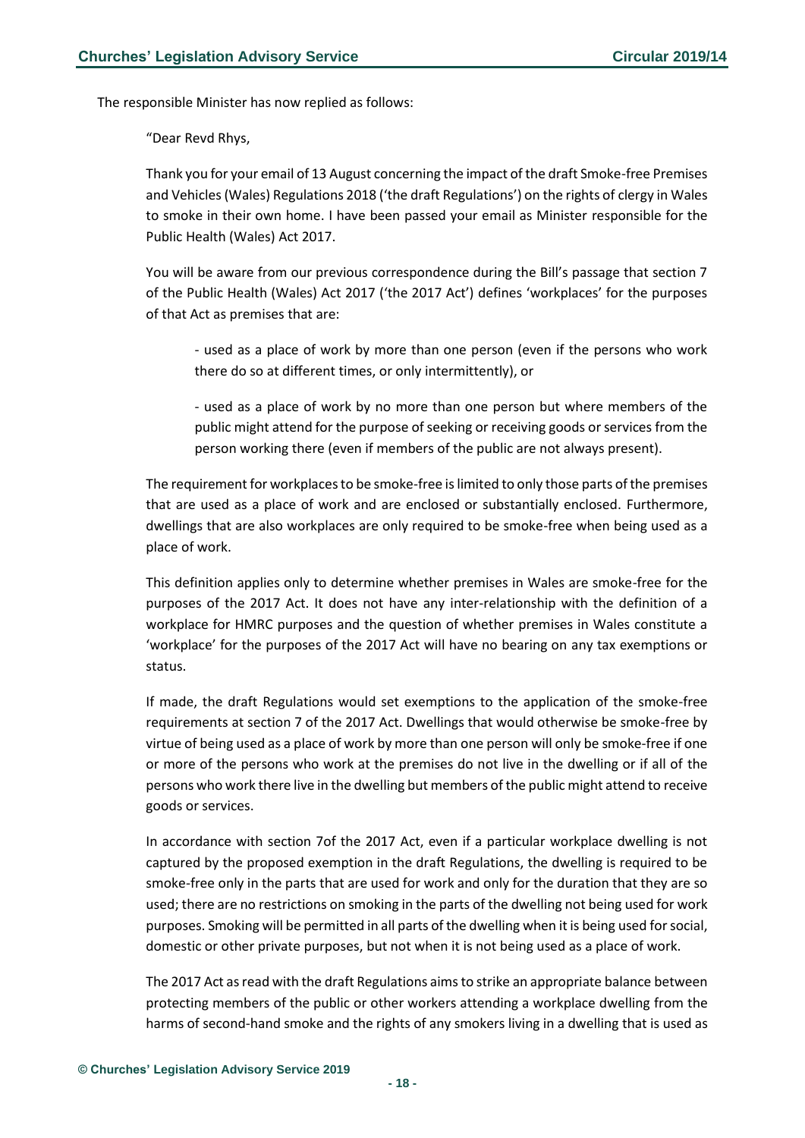The responsible Minister has now replied as follows:

"Dear Revd Rhys,

Thank you for your email of 13 August concerning the impact of the draft Smoke-free Premises and Vehicles (Wales) Regulations 2018 ('the draft Regulations') on the rights of clergy in Wales to smoke in their own home. I have been passed your email as Minister responsible for the Public Health (Wales) Act 2017.

You will be aware from our previous correspondence during the Bill's passage that section 7 of the Public Health (Wales) Act 2017 ('the 2017 Act') defines 'workplaces' for the purposes of that Act as premises that are:

- used as a place of work by more than one person (even if the persons who work there do so at different times, or only intermittently), or

- used as a place of work by no more than one person but where members of the public might attend for the purpose of seeking or receiving goods or services from the person working there (even if members of the public are not always present).

The requirement for workplaces to be smoke-free is limited to only those parts of the premises that are used as a place of work and are enclosed or substantially enclosed. Furthermore, dwellings that are also workplaces are only required to be smoke-free when being used as a place of work.

This definition applies only to determine whether premises in Wales are smoke-free for the purposes of the 2017 Act. It does not have any inter-relationship with the definition of a workplace for HMRC purposes and the question of whether premises in Wales constitute a 'workplace' for the purposes of the 2017 Act will have no bearing on any tax exemptions or status.

If made, the draft Regulations would set exemptions to the application of the smoke-free requirements at section 7 of the 2017 Act. Dwellings that would otherwise be smoke-free by virtue of being used as a place of work by more than one person will only be smoke-free if one or more of the persons who work at the premises do not live in the dwelling or if all of the persons who work there live in the dwelling but members of the public might attend to receive goods or services.

In accordance with section 7of the 2017 Act, even if a particular workplace dwelling is not captured by the proposed exemption in the draft Regulations, the dwelling is required to be smoke-free only in the parts that are used for work and only for the duration that they are so used; there are no restrictions on smoking in the parts of the dwelling not being used for work purposes. Smoking will be permitted in all parts of the dwelling when it is being used for social, domestic or other private purposes, but not when it is not being used as a place of work.

The 2017 Act as read with the draft Regulations aims to strike an appropriate balance between protecting members of the public or other workers attending a workplace dwelling from the harms of second-hand smoke and the rights of any smokers living in a dwelling that is used as